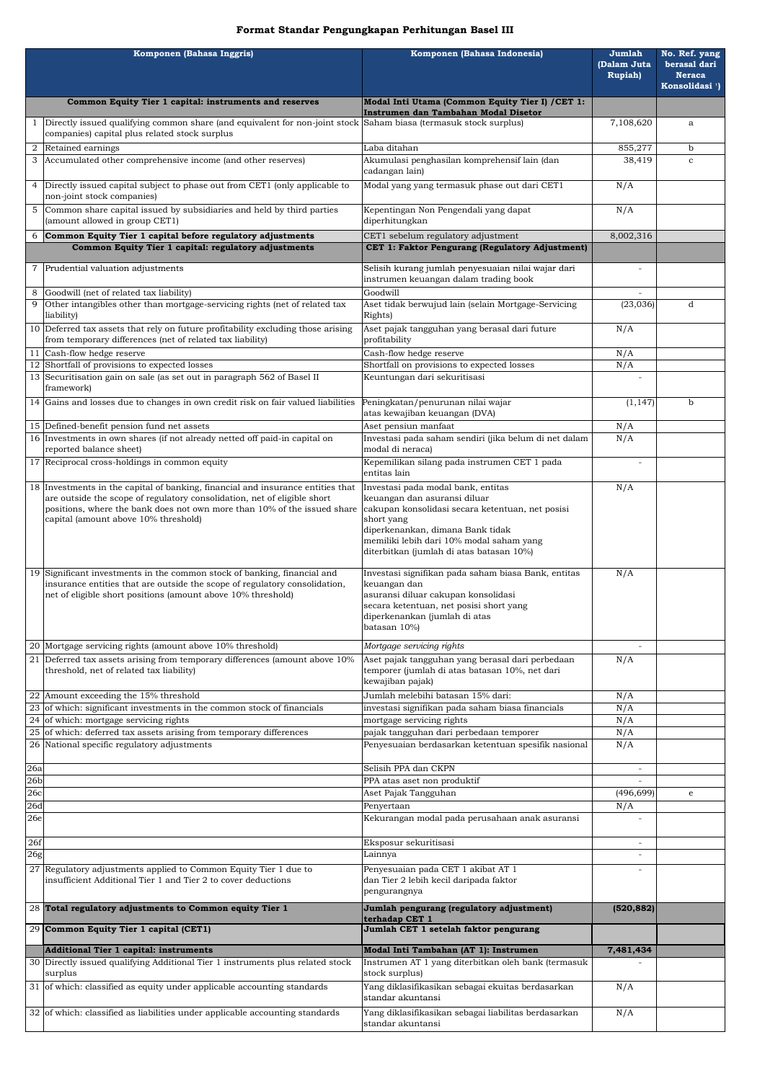## **Format Standar Pengungkapan Perhitungan Basel III**

|                        | Komponen (Bahasa Inggris)                                                                                                                                   | Komponen (Bahasa Indonesia)                                                                        | Jumlah<br>(Dalam Juta    | No. Ref. yang<br>berasal dari               |
|------------------------|-------------------------------------------------------------------------------------------------------------------------------------------------------------|----------------------------------------------------------------------------------------------------|--------------------------|---------------------------------------------|
|                        |                                                                                                                                                             |                                                                                                    | <b>Rupiah</b> )          | <b>Neraca</b><br>Konsolidasi <sup>1</sup> ) |
|                        | Common Equity Tier 1 capital: instruments and reserves                                                                                                      | Modal Inti Utama (Common Equity Tier I) / CET 1:                                                   |                          |                                             |
|                        | Directly issued qualifying common share (and equivalent for non-joint stock Saham biasa (termasuk stock surplus)                                            | Instrumen dan Tambahan Modal Disetor                                                               | 7,108,620                | a                                           |
|                        | companies) capital plus related stock surplus                                                                                                               |                                                                                                    |                          |                                             |
| $\overline{2}$         | Retained earnings<br>3 Accumulated other comprehensive income (and other reserves)                                                                          | Laba ditahan<br>Akumulasi penghasilan komprehensif lain (dan                                       | 855,277<br>38,419        | $\mathbf b$<br>$\mathbf c$                  |
|                        |                                                                                                                                                             | cadangan lain)                                                                                     |                          |                                             |
| 4                      | Directly issued capital subject to phase out from CET1 (only applicable to<br>non-joint stock companies)                                                    | Modal yang yang termasuk phase out dari CET1                                                       | N/A                      |                                             |
|                        | 5 Common share capital issued by subsidiaries and held by third parties<br>(amount allowed in group CET1)                                                   | Kepentingan Non Pengendali yang dapat<br>diperhitungkan                                            | N/A                      |                                             |
| 6                      | Common Equity Tier 1 capital before regulatory adjustments<br>Common Equity Tier 1 capital: regulatory adjustments                                          | CET1 sebelum regulatory adjustment<br>CET 1: Faktor Pengurang (Regulatory Adjustment)              | 8,002,316                |                                             |
|                        |                                                                                                                                                             |                                                                                                    |                          |                                             |
|                        | 7 Prudential valuation adjustments                                                                                                                          | Selisih kurang jumlah penyesuaian nilai wajar dari<br>instrumen keuangan dalam trading book        |                          |                                             |
| 9                      | Goodwill (net of related tax liability)<br>Other intangibles other than mortgage-servicing rights (net of related tax                                       | Goodwill<br>Aset tidak berwujud lain (selain Mortgage-Servicing                                    | (23, 036)                | d                                           |
|                        | liability)                                                                                                                                                  | Rights)                                                                                            |                          |                                             |
|                        | 10 Deferred tax assets that rely on future profitability excluding those arising<br>from temporary differences (net of related tax liability)               | Aset pajak tangguhan yang berasal dari future<br>profitability                                     | N/A                      |                                             |
|                        | 11 Cash-flow hedge reserve                                                                                                                                  | Cash-flow hedge reserve                                                                            | N/A                      |                                             |
|                        | 12 Shortfall of provisions to expected losses<br>13 Securitisation gain on sale (as set out in paragraph 562 of Basel II                                    | Shortfall on provisions to expected losses<br>Keuntungan dari sekuritisasi                         | N/A                      |                                             |
|                        | framework)                                                                                                                                                  |                                                                                                    |                          |                                             |
|                        | 14 Gains and losses due to changes in own credit risk on fair valued liabilities                                                                            | Peningkatan/penurunan nilai wajar<br>atas kewajiban keuangan (DVA)                                 | (1, 147)                 | $\mathbf b$                                 |
|                        | 15 Defined-benefit pension fund net assets                                                                                                                  | Aset pensiun manfaat                                                                               | N/A                      |                                             |
|                        | 16 Investments in own shares (if not already netted off paid-in capital on<br>reported balance sheet)                                                       | Investasi pada saham sendiri (jika belum di net dalam<br>modal di neraca)                          | N/A                      |                                             |
|                        | 17 Reciprocal cross-holdings in common equity                                                                                                               | Kepemilikan silang pada instrumen CET 1 pada<br>entitas lain                                       |                          |                                             |
|                        | 18 Investments in the capital of banking, financial and insurance entities that<br>are outside the scope of regulatory consolidation, net of eligible short | Investasi pada modal bank, entitas<br>keuangan dan asuransi diluar                                 | N/A                      |                                             |
|                        | positions, where the bank does not own more than 10% of the issued share                                                                                    | cakupan konsolidasi secara ketentuan, net posisi                                                   |                          |                                             |
|                        | capital (amount above 10% threshold)                                                                                                                        | short yang<br>diperkenankan, dimana Bank tidak                                                     |                          |                                             |
|                        |                                                                                                                                                             | memiliki lebih dari 10% modal saham yang                                                           |                          |                                             |
|                        |                                                                                                                                                             | diterbitkan (jumlah di atas batasan 10%)                                                           |                          |                                             |
|                        | 19 Significant investments in the common stock of banking, financial and<br>insurance entities that are outside the scope of regulatory consolidation,      | Investasi signifikan pada saham biasa Bank, entitas<br>keuangan dan                                | N/A                      |                                             |
|                        | net of eligible short positions (amount above 10% threshold)                                                                                                | asuransi diluar cakupan konsolidasi                                                                |                          |                                             |
|                        |                                                                                                                                                             | secara ketentuan, net posisi short yang<br>diperkenankan (jumlah di atas                           |                          |                                             |
|                        |                                                                                                                                                             | batasan 10%)                                                                                       |                          |                                             |
|                        | 20 Mortgage servicing rights (amount above 10% threshold)                                                                                                   | Mortgage servicing rights                                                                          |                          |                                             |
|                        | 21 Deferred tax assets arising from temporary differences (amount above 10%<br>threshold, net of related tax liability)                                     | Aset pajak tangguhan yang berasal dari perbedaan<br>temporer (jumlah di atas batasan 10%, net dari | N/A                      |                                             |
|                        |                                                                                                                                                             | kewajiban pajak)                                                                                   |                          |                                             |
|                        | 22 Amount exceeding the 15% threshold<br>23 of which: significant investments in the common stock of financials                                             | Jumlah melebihi batasan 15% dari:<br>investasi signifikan pada saham biasa financials              | N/A                      |                                             |
|                        | 24 of which: mortgage servicing rights                                                                                                                      | mortgage servicing rights                                                                          | N/A<br>N/A               |                                             |
|                        | 25 of which: deferred tax assets arising from temporary differences                                                                                         | pajak tangguhan dari perbedaan temporer                                                            | N/A                      |                                             |
|                        | 26 National specific regulatory adjustments                                                                                                                 | Penyesuaian berdasarkan ketentuan spesifik nasional                                                | N/A                      |                                             |
| 26a                    |                                                                                                                                                             | Selisih PPA dan CKPN                                                                               |                          |                                             |
| 26 <sub>b</sub><br>26c |                                                                                                                                                             | PPA atas aset non produktif<br>Aset Pajak Tangguhan                                                | (496, 699)               | e                                           |
| 26d                    |                                                                                                                                                             | Penyertaan                                                                                         | N/A                      |                                             |
| 26e                    |                                                                                                                                                             | Kekurangan modal pada perusahaan anak asuransi                                                     |                          |                                             |
| 26f                    |                                                                                                                                                             | Eksposur sekuritisasi                                                                              | $\overline{\phantom{a}}$ |                                             |
| 26g                    |                                                                                                                                                             | Lainnya                                                                                            |                          |                                             |
|                        | 27 Regulatory adjustments applied to Common Equity Tier 1 due to<br>insufficient Additional Tier 1 and Tier 2 to cover deductions                           | Penyesuaian pada CET 1 akibat AT 1<br>dan Tier 2 lebih kecil daripada faktor                       |                          |                                             |
|                        |                                                                                                                                                             | pengurangnya                                                                                       |                          |                                             |
|                        | 28 Total regulatory adjustments to Common equity Tier 1                                                                                                     | Jumlah pengurang (regulatory adjustment)<br>terhadap CET 1                                         | (520, 882)               |                                             |
|                        | 29 Common Equity Tier 1 capital (CET1)                                                                                                                      | Jumlah CET 1 setelah faktor pengurang                                                              |                          |                                             |
|                        | <b>Additional Tier 1 capital: instruments</b>                                                                                                               | Modal Inti Tambahan (AT 1): Instrumen                                                              | 7,481,434                |                                             |
|                        | 30 Directly issued qualifying Additional Tier 1 instruments plus related stock<br>surplus                                                                   | Instrumen AT 1 yang diterbitkan oleh bank (termasuk<br>stock surplus)                              |                          |                                             |
|                        | 31 of which: classified as equity under applicable accounting standards                                                                                     | Yang diklasifikasikan sebagai ekuitas berdasarkan<br>standar akuntansi                             | N/A                      |                                             |
|                        | 32 of which: classified as liabilities under applicable accounting standards                                                                                | Yang diklasifikasikan sebagai liabilitas berdasarkan                                               | N/A                      |                                             |
|                        |                                                                                                                                                             | standar akuntansi                                                                                  |                          |                                             |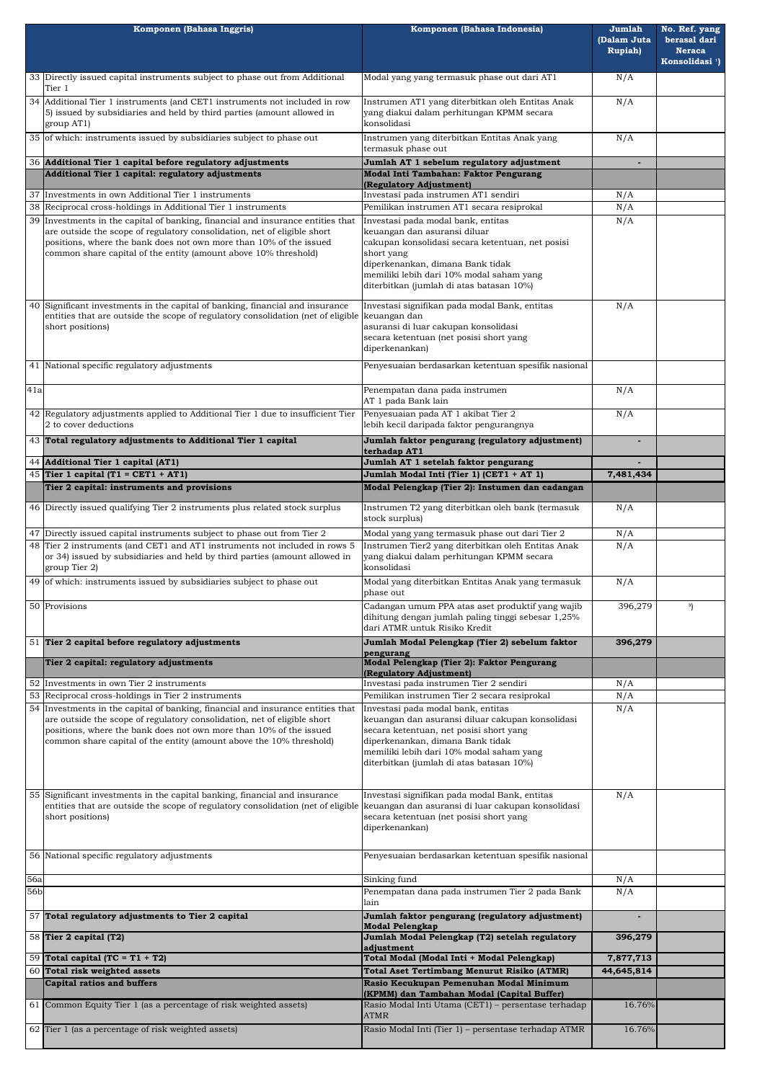|                 | Komponen (Bahasa Inggris)                                                                                                                                                                                             | Komponen (Bahasa Indonesia)                                                                                                                                                                                             | Jumlah<br>(Dalam Juta<br><b>Rupiah</b> ) | No. Ref. yang<br>berasal dari<br><b>Neraca</b><br>Konsolidasi <sup>1</sup> ) |
|-----------------|-----------------------------------------------------------------------------------------------------------------------------------------------------------------------------------------------------------------------|-------------------------------------------------------------------------------------------------------------------------------------------------------------------------------------------------------------------------|------------------------------------------|------------------------------------------------------------------------------|
|                 | 33 Directly issued capital instruments subject to phase out from Additional                                                                                                                                           | Modal yang yang termasuk phase out dari AT1                                                                                                                                                                             | N/A                                      |                                                                              |
|                 | Tier 1<br>34 Additional Tier 1 instruments (and CET1 instruments not included in row<br>5) issued by subsidiaries and held by third parties (amount allowed in<br>group AT1)                                          | Instrumen AT1 yang diterbitkan oleh Entitas Anak<br>yang diakui dalam perhitungan KPMM secara<br>konsolidasi                                                                                                            |                                          |                                                                              |
|                 | 35 of which: instruments issued by subsidiaries subject to phase out                                                                                                                                                  | Instrumen yang diterbitkan Entitas Anak yang<br>termasuk phase out                                                                                                                                                      | N/A                                      |                                                                              |
|                 | 36 Additional Tier 1 capital before regulatory adjustments                                                                                                                                                            | Jumlah AT 1 sebelum regulatory adjustment                                                                                                                                                                               |                                          |                                                                              |
|                 | Additional Tier 1 capital: regulatory adjustments                                                                                                                                                                     | Modal Inti Tambahan: Faktor Pengurang                                                                                                                                                                                   |                                          |                                                                              |
|                 | 37 Investments in own Additional Tier 1 instruments                                                                                                                                                                   | (Regulatory Adjustment)<br>Investasi pada instrumen AT1 sendiri                                                                                                                                                         | N/A                                      |                                                                              |
|                 | 38 Reciprocal cross-holdings in Additional Tier 1 instruments                                                                                                                                                         | Pemilikan instrumen AT1 secara resiprokal                                                                                                                                                                               | N/A                                      |                                                                              |
|                 | 39 Investments in the capital of banking, financial and insurance entities that<br>are outside the scope of regulatory consolidation, net of eligible short                                                           | Investasi pada modal bank, entitas<br>keuangan dan asuransi diluar                                                                                                                                                      | N/A                                      |                                                                              |
|                 | positions, where the bank does not own more than 10% of the issued                                                                                                                                                    | cakupan konsolidasi secara ketentuan, net posisi                                                                                                                                                                        |                                          |                                                                              |
|                 | common share capital of the entity (amount above 10% threshold)                                                                                                                                                       | short yang<br>diperkenankan, dimana Bank tidak<br>memiliki lebih dari 10% modal saham yang<br>diterbitkan (jumlah di atas batasan 10%)                                                                                  |                                          |                                                                              |
| 40              | Significant investments in the capital of banking, financial and insurance<br>entities that are outside the scope of regulatory consolidation (net of eligible                                                        | Investasi signifikan pada modal Bank, entitas<br>keuangan dan                                                                                                                                                           | N/A                                      |                                                                              |
|                 | asuransi di luar cakupan konsolidasi<br>short positions)                                                                                                                                                              |                                                                                                                                                                                                                         |                                          |                                                                              |
|                 |                                                                                                                                                                                                                       | secara ketentuan (net posisi short yang<br>diperkenankan)                                                                                                                                                               |                                          |                                                                              |
|                 | 41 National specific regulatory adjustments                                                                                                                                                                           | Penyesuaian berdasarkan ketentuan spesifik nasional                                                                                                                                                                     |                                          |                                                                              |
| 41a             |                                                                                                                                                                                                                       | Penempatan dana pada instrumen                                                                                                                                                                                          | N/A                                      |                                                                              |
|                 |                                                                                                                                                                                                                       | AT 1 pada Bank lain                                                                                                                                                                                                     |                                          |                                                                              |
|                 | 42 Regulatory adjustments applied to Additional Tier 1 due to insufficient Tier<br>2 to cover deductions                                                                                                              | Penyesuaian pada AT 1 akibat Tier 2<br>lebih kecil daripada faktor pengurangnya                                                                                                                                         | N/A                                      |                                                                              |
|                 | 43 Total regulatory adjustments to Additional Tier 1 capital                                                                                                                                                          | Jumlah faktor pengurang (regulatory adjustment)<br>terhadap AT1                                                                                                                                                         |                                          |                                                                              |
|                 | 44 Additional Tier 1 capital (AT1)                                                                                                                                                                                    | Jumlah AT 1 setelah faktor pengurang                                                                                                                                                                                    |                                          |                                                                              |
|                 | 45 Tier 1 capital (T1 = CET1 + AT1)                                                                                                                                                                                   | Jumlah Modal Inti (Tier 1) (CET1 + AT 1)                                                                                                                                                                                | 7,481,434                                |                                                                              |
|                 | Tier 2 capital: instruments and provisions                                                                                                                                                                            | Modal Pelengkap (Tier 2): Instumen dan cadangan                                                                                                                                                                         |                                          |                                                                              |
|                 | 46 Directly issued qualifying Tier 2 instruments plus related stock surplus<br>47 Directly issued capital instruments subject to phase out from Tier 2                                                                | Instrumen T2 yang diterbitkan oleh bank (termasuk<br>stock surplus)                                                                                                                                                     | N/A                                      |                                                                              |
|                 | 48 Tier 2 instruments (and CET1 and AT1 instruments not included in rows 5                                                                                                                                            | Modal yang yang termasuk phase out dari Tier 2<br>Instrumen Tier2 yang diterbitkan oleh Entitas Anak                                                                                                                    | N/A<br>N/A                               |                                                                              |
|                 | or 34) issued by subsidiaries and held by third parties (amount allowed in<br>group Tier 2)<br>49 of which: instruments issued by subsidiaries subject to phase out                                                   | yang diakui dalam perhitungan KPMM secara<br>konsolidasi<br>Modal yang diterbitkan Entitas Anak yang termasuk                                                                                                           | N/A                                      |                                                                              |
|                 |                                                                                                                                                                                                                       | phase out                                                                                                                                                                                                               |                                          |                                                                              |
|                 | 50 Provisions                                                                                                                                                                                                         | Cadangan umum PPA atas aset produktif yang wajib<br>dihitung dengan jumlah paling tinggi sebesar 1,25%<br>dari ATMR untuk Risiko Kredit                                                                                 | 396,279                                  | 3)                                                                           |
|                 | 51 Tier 2 capital before regulatory adjustments                                                                                                                                                                       | Jumlah Modal Pelengkap (Tier 2) sebelum faktor<br>pengurang                                                                                                                                                             | 396,279                                  |                                                                              |
|                 | Tier 2 capital: regulatory adjustments                                                                                                                                                                                | Modal Pelengkap (Tier 2): Faktor Pengurang<br>(Regulatory Adjustment)                                                                                                                                                   |                                          |                                                                              |
|                 | 52 Investments in own Tier 2 instruments                                                                                                                                                                              | Investasi pada instrumen Tier 2 sendiri                                                                                                                                                                                 | N/A                                      |                                                                              |
|                 | 53 Reciprocal cross-holdings in Tier 2 instruments<br>54 Investments in the capital of banking, financial and insurance entities that                                                                                 | Pemilikan instrumen Tier 2 secara resiprokal<br>Investasi pada modal bank, entitas                                                                                                                                      | N/A<br>N/A                               |                                                                              |
|                 | are outside the scope of regulatory consolidation, net of eligible short<br>positions, where the bank does not own more than 10% of the issued<br>common share capital of the entity (amount above the 10% threshold) | keuangan dan asuransi diluar cakupan konsolidasi<br>secara ketentuan, net posisi short yang<br>diperkenankan, dimana Bank tidak<br>memiliki lebih dari 10% modal saham yang<br>diterbitkan (jumlah di atas batasan 10%) |                                          |                                                                              |
|                 | 55 Significant investments in the capital banking, financial and insurance<br>entities that are outside the scope of regulatory consolidation (net of eligible<br>short positions)                                    | Investasi signifikan pada modal Bank, entitas<br>keuangan dan asuransi di luar cakupan konsolidasi<br>secara ketentuan (net posisi short yang<br>diperkenankan)                                                         | N/A                                      |                                                                              |
|                 | 56 National specific regulatory adjustments                                                                                                                                                                           | Penyesuaian berdasarkan ketentuan spesifik nasional                                                                                                                                                                     |                                          |                                                                              |
| <b>56a</b>      |                                                                                                                                                                                                                       | Sinking fund                                                                                                                                                                                                            | N/A                                      |                                                                              |
| 56 <sub>b</sub> |                                                                                                                                                                                                                       | Penempatan dana pada instrumen Tier 2 pada Bank<br>lain                                                                                                                                                                 | N/A                                      |                                                                              |
|                 | 57 Total regulatory adjustments to Tier 2 capital                                                                                                                                                                     | Jumlah faktor pengurang (regulatory adjustment)<br><b>Modal Pelengkap</b>                                                                                                                                               | $\blacksquare$                           |                                                                              |
|                 | 58 Tier 2 capital (T2)                                                                                                                                                                                                | Jumlah Modal Pelengkap (T2) setelah regulatory<br>adjustment                                                                                                                                                            | 396,279                                  |                                                                              |
|                 | 59 Total capital (TC = $T1 + T2$ )                                                                                                                                                                                    | Total Modal (Modal Inti + Modal Pelengkap)                                                                                                                                                                              | 7,877,713                                |                                                                              |
|                 | 60 Total risk weighted assets                                                                                                                                                                                         | <b>Total Aset Tertimbang Menurut Risiko (ATMR)</b>                                                                                                                                                                      | 44,645,814                               |                                                                              |
|                 | <b>Capital ratios and buffers</b>                                                                                                                                                                                     | Rasio Kecukupan Pemenuhan Modal Minimum<br>(KPMM) dan Tambahan Modal (Capital Buffer)                                                                                                                                   |                                          |                                                                              |
|                 | 61 Common Equity Tier 1 (as a percentage of risk weighted assets)                                                                                                                                                     | Rasio Modal Inti Utama (CET1) - persentase terhadap<br><b>ATMR</b>                                                                                                                                                      | 16.76%                                   |                                                                              |
|                 | 62 Tier 1 (as a percentage of risk weighted assets)                                                                                                                                                                   | Rasio Modal Inti (Tier 1) - persentase terhadap ATMR                                                                                                                                                                    | 16.76%                                   |                                                                              |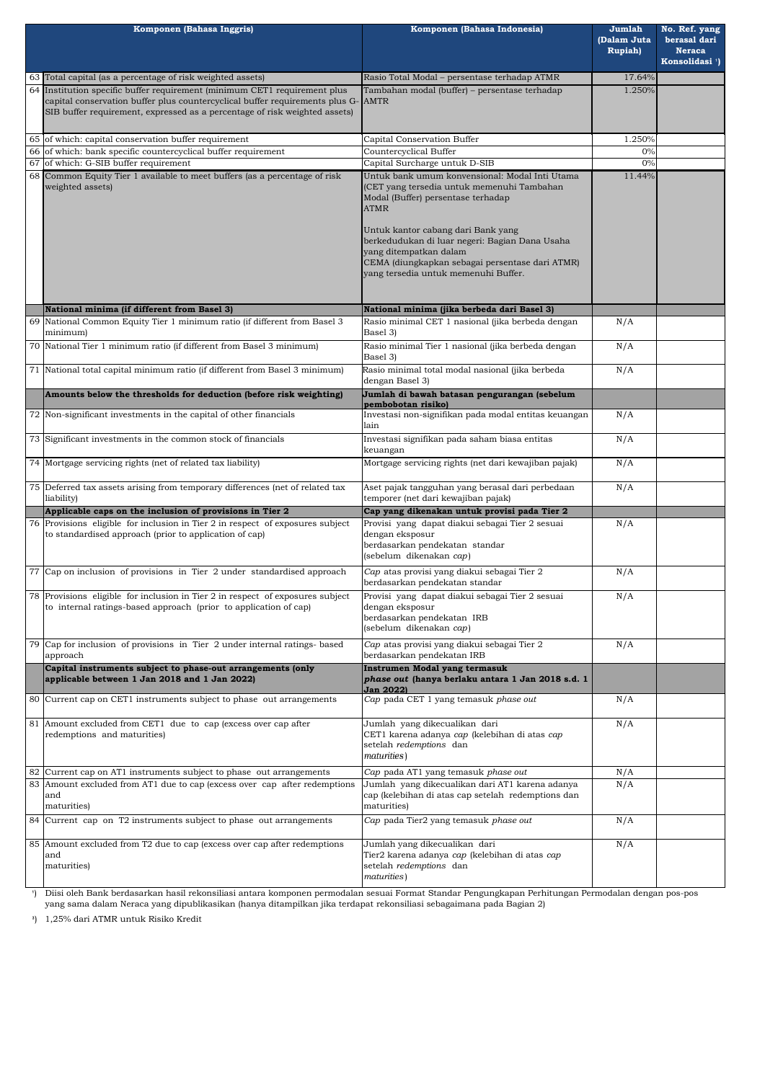| Komponen (Bahasa Inggris)                                                                                                                                                                                                                   | Komponen (Bahasa Indonesia)                                                                                                                                                                                                                                                                                                                                    | Jumlah<br>(Dalam Juta<br><b>Rupiah</b> ) | No. Ref. yang<br>berasal dari<br><b>Neraca</b><br>Konsolidasi <sup>1</sup> ) |
|---------------------------------------------------------------------------------------------------------------------------------------------------------------------------------------------------------------------------------------------|----------------------------------------------------------------------------------------------------------------------------------------------------------------------------------------------------------------------------------------------------------------------------------------------------------------------------------------------------------------|------------------------------------------|------------------------------------------------------------------------------|
| 63 Total capital (as a percentage of risk weighted assets)                                                                                                                                                                                  | Rasio Total Modal - persentase terhadap ATMR                                                                                                                                                                                                                                                                                                                   | 17.64%                                   |                                                                              |
| 64 Institution specific buffer requirement (minimum CET1 requirement plus<br>capital conservation buffer plus countercyclical buffer requirements plus G-AMTR<br>SIB buffer requirement, expressed as a percentage of risk weighted assets) | Tambahan modal (buffer) - persentase terhadap                                                                                                                                                                                                                                                                                                                  | 1.250%                                   |                                                                              |
| 65 of which: capital conservation buffer requirement                                                                                                                                                                                        | Capital Conservation Buffer                                                                                                                                                                                                                                                                                                                                    | 1.250%                                   |                                                                              |
| 66 of which: bank specific countercyclical buffer requirement                                                                                                                                                                               | <b>Countercyclical Buffer</b>                                                                                                                                                                                                                                                                                                                                  | 0%                                       |                                                                              |
| 67 of which: G-SIB buffer requirement                                                                                                                                                                                                       | Capital Surcharge untuk D-SIB                                                                                                                                                                                                                                                                                                                                  | 0%                                       |                                                                              |
| 68 Common Equity Tier 1 available to meet buffers (as a percentage of risk<br>weighted assets)                                                                                                                                              | Untuk bank umum konvensional: Modal Inti Utama<br>(CET yang tersedia untuk memenuhi Tambahan<br>Modal (Buffer) persentase terhadap<br><b>ATMR</b><br>Untuk kantor cabang dari Bank yang<br>berkedudukan di luar negeri: Bagian Dana Usaha<br>yang ditempatkan dalam<br>CEMA (diungkapkan sebagai persentase dari ATMR)<br>yang tersedia untuk memenuhi Buffer. | 11.44%                                   |                                                                              |
| National minima (if different from Basel 3)                                                                                                                                                                                                 | National minima (jika berbeda dari Basel 3)                                                                                                                                                                                                                                                                                                                    |                                          |                                                                              |
| 69 National Common Equity Tier 1 minimum ratio (if different from Basel 3<br>minimum)                                                                                                                                                       | Rasio minimal CET 1 nasional (jika berbeda dengan<br>Basel 3)                                                                                                                                                                                                                                                                                                  | N/A                                      |                                                                              |
| 70 National Tier 1 minimum ratio (if different from Basel 3 minimum)                                                                                                                                                                        | Rasio minimal Tier 1 nasional (jika berbeda dengan<br>Basel 3)                                                                                                                                                                                                                                                                                                 | N/A                                      |                                                                              |
| 71 National total capital minimum ratio (if different from Basel 3 minimum)                                                                                                                                                                 | Rasio minimal total modal nasional (jika berbeda<br>dengan Basel 3)                                                                                                                                                                                                                                                                                            | N/A                                      |                                                                              |
| Amounts below the thresholds for deduction (before risk weighting)                                                                                                                                                                          | Jumlah di bawah batasan pengurangan (sebelum<br>pembobotan risiko)                                                                                                                                                                                                                                                                                             |                                          |                                                                              |
| 72 Non-significant investments in the capital of other financials                                                                                                                                                                           | Investasi non-signifikan pada modal entitas keuangan<br>lain                                                                                                                                                                                                                                                                                                   | N/A                                      |                                                                              |
| 73 Significant investments in the common stock of financials                                                                                                                                                                                | Investasi signifikan pada saham biasa entitas<br>keuangan                                                                                                                                                                                                                                                                                                      | N/A                                      |                                                                              |
| 74 Mortgage servicing rights (net of related tax liability)                                                                                                                                                                                 | Mortgage servicing rights (net dari kewajiban pajak)                                                                                                                                                                                                                                                                                                           | N/A                                      |                                                                              |
| 75 Deferred tax assets arising from temporary differences (net of related tax<br>liability)                                                                                                                                                 | Aset pajak tangguhan yang berasal dari perbedaan<br>temporer (net dari kewajiban pajak)                                                                                                                                                                                                                                                                        | N/A                                      |                                                                              |
| Applicable caps on the inclusion of provisions in Tier 2                                                                                                                                                                                    | Cap yang dikenakan untuk provisi pada Tier 2                                                                                                                                                                                                                                                                                                                   |                                          |                                                                              |
| 76 Provisions eligible for inclusion in Tier 2 in respect of exposures subject<br>to standardised approach (prior to application of cap)                                                                                                    | Provisi yang dapat diakui sebagai Tier 2 sesuai<br>dengan eksposur<br>berdasarkan pendekatan standar<br>(sebelum dikenakan cap)                                                                                                                                                                                                                                | N/A                                      |                                                                              |
| 77 Cap on inclusion of provisions in Tier 2 under standardised approach                                                                                                                                                                     | Cap atas provisi yang diakui sebagai Tier 2<br>berdasarkan pendekatan standar                                                                                                                                                                                                                                                                                  | N/A                                      |                                                                              |
| 78 Provisions eligible for inclusion in Tier 2 in respect of exposures subject<br>to internal ratings-based approach (prior to application of cap)                                                                                          | Provisi yang dapat diakui sebagai Tier 2 sesuai<br>dengan eksposur<br>berdasarkan pendekatan IRB<br>(sebelum dikenakan cap)                                                                                                                                                                                                                                    | N/A                                      |                                                                              |
| 79 Cap for inclusion of provisions in Tier 2 under internal ratings- based<br>approach                                                                                                                                                      | Cap atas provisi yang diakui sebagai Tier 2<br>berdasarkan pendekatan IRB                                                                                                                                                                                                                                                                                      | N/A                                      |                                                                              |
| Capital instruments subject to phase-out arrangements (only<br>applicable between 1 Jan 2018 and 1 Jan 2022)                                                                                                                                | Instrumen Modal yang termasuk<br>phase out (hanya berlaku antara 1 Jan 2018 s.d. 1<br><b>Jan 2022)</b>                                                                                                                                                                                                                                                         |                                          |                                                                              |
| 80 Current cap on CET1 instruments subject to phase out arrangements                                                                                                                                                                        | Cap pada CET 1 yang temasuk phase out                                                                                                                                                                                                                                                                                                                          | N/A                                      |                                                                              |
| 81 Amount excluded from CET1 due to cap (excess over cap after<br>redemptions and maturities)                                                                                                                                               | Jumlah yang dikecualikan dari<br>CET1 karena adanya cap (kelebihan di atas cap<br>setelah redemptions dan<br>maturities)                                                                                                                                                                                                                                       | N/A                                      |                                                                              |
| 82 Current cap on AT1 instruments subject to phase out arrangements                                                                                                                                                                         | Cap pada AT1 yang temasuk phase out                                                                                                                                                                                                                                                                                                                            | N/A                                      |                                                                              |
| 83 Amount excluded from AT1 due to cap (excess over cap after redemptions<br>and<br>maturities)                                                                                                                                             | Jumlah yang dikecualikan dari AT1 karena adanya<br>cap (kelebihan di atas cap setelah redemptions dan<br>maturities)                                                                                                                                                                                                                                           | N/A                                      |                                                                              |
| 84 Current cap on T2 instruments subject to phase out arrangements                                                                                                                                                                          | Cap pada Tier2 yang temasuk phase out                                                                                                                                                                                                                                                                                                                          | N/A                                      |                                                                              |
| 85 Amount excluded from T2 due to cap (excess over cap after redemptions)<br>and<br>maturities)                                                                                                                                             | Jumlah yang dikecualikan dari<br>Tier2 karena adanya cap (kelebihan di atas cap<br>setelah redemptions dan<br>maturities)                                                                                                                                                                                                                                      | N/A                                      |                                                                              |
| Diisi oleh Bank berdasarkan hasil rekonsiliasi antara komponen permodalan sesuai Format Standar Pengungkapan Perhitungan Permodalan dengan pos-pos                                                                                          |                                                                                                                                                                                                                                                                                                                                                                |                                          |                                                                              |

**³**) 1,25% dari ATMR untuk Risiko Kredit

yang sama dalam Neraca yang dipublikasikan (hanya ditampilkan jika terdapat rekonsiliasi sebagaimana pada Bagian 2)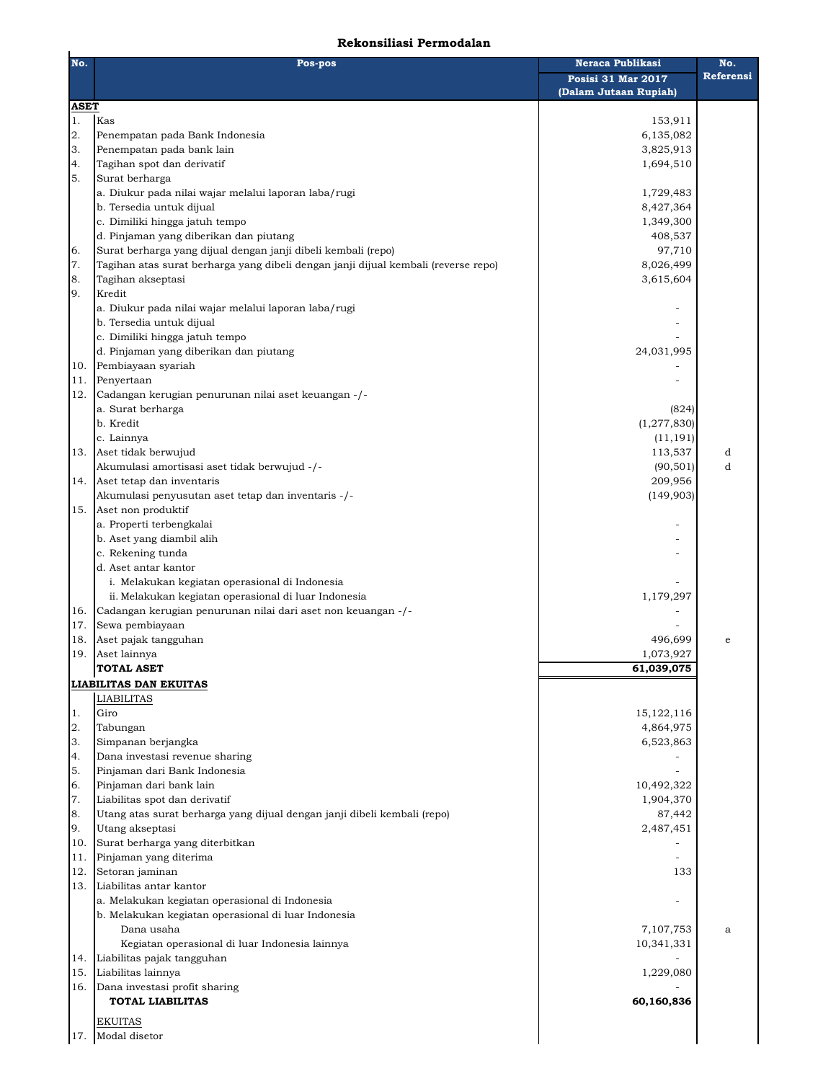## **Rekonsiliasi Permodalan**

| No. | Pos-pos                                                                            | <b>Neraca Publikasi</b>                     | No.       |  |
|-----|------------------------------------------------------------------------------------|---------------------------------------------|-----------|--|
|     |                                                                                    | Posisi 31 Mar 2017<br>(Dalam Jutaan Rupiah) | Referensi |  |
|     | <b>ASET</b>                                                                        |                                             |           |  |
| 1.  | Kas                                                                                | 153,911                                     |           |  |
| 2.  | Penempatan pada Bank Indonesia                                                     | 6,135,082                                   |           |  |
| 3.  | Penempatan pada bank lain                                                          | 3,825,913                                   |           |  |
| 4.  | Tagihan spot dan derivatif                                                         | 1,694,510                                   |           |  |
| 5.  | Surat berharga                                                                     |                                             |           |  |
|     | a. Diukur pada nilai wajar melalui laporan laba/rugi                               | 1,729,483                                   |           |  |
|     | b. Tersedia untuk dijual                                                           | 8,427,364                                   |           |  |
|     | c. Dimiliki hingga jatuh tempo                                                     | 1,349,300                                   |           |  |
|     | d. Pinjaman yang diberikan dan piutang                                             | 408,537                                     |           |  |
| 6.  | Surat berharga yang dijual dengan janji dibeli kembali (repo)                      | 97,710                                      |           |  |
| 7.  | Tagihan atas surat berharga yang dibeli dengan janji dijual kembali (reverse repo) | 8,026,499                                   |           |  |
| 8.  | Tagihan akseptasi                                                                  | 3,615,604                                   |           |  |
| 9.  | Kredit                                                                             |                                             |           |  |
|     | a. Diukur pada nilai wajar melalui laporan laba/rugi                               |                                             |           |  |
|     | b. Tersedia untuk dijual                                                           |                                             |           |  |
|     | c. Dimiliki hingga jatuh tempo                                                     |                                             |           |  |
|     | d. Pinjaman yang diberikan dan piutang                                             | 24,031,995                                  |           |  |
| 10. | Pembiayaan syariah                                                                 |                                             |           |  |
| 11. | Penyertaan                                                                         |                                             |           |  |
| 12. | Cadangan kerugian penurunan nilai aset keuangan -/-                                |                                             |           |  |
|     | a. Surat berharga<br>b. Kredit                                                     | (824)                                       |           |  |
|     | c. Lainnya                                                                         | (1, 277, 830)<br>(11, 191)                  |           |  |
|     | Aset tidak berwujud                                                                |                                             | d         |  |
| 13. | Akumulasi amortisasi aset tidak berwujud -/-                                       | 113,537                                     | d         |  |
|     | Aset tetap dan inventaris                                                          | (90, 501)<br>209,956                        |           |  |
| 14. | Akumulasi penyusutan aset tetap dan inventaris -/-                                 | (149,903)                                   |           |  |
| 15. | Aset non produktif                                                                 |                                             |           |  |
|     | a. Properti terbengkalai                                                           |                                             |           |  |
|     | b. Aset yang diambil alih                                                          |                                             |           |  |
|     | c. Rekening tunda                                                                  |                                             |           |  |
|     | d. Aset antar kantor                                                               |                                             |           |  |
|     | i. Melakukan kegiatan operasional di Indonesia                                     |                                             |           |  |
|     | ii. Melakukan kegiatan operasional di luar Indonesia                               | 1,179,297                                   |           |  |
| 16. | Cadangan kerugian penurunan nilai dari aset non keuangan -/-                       |                                             |           |  |
| 17. | Sewa pembiayaan                                                                    |                                             |           |  |
| 18. | Aset pajak tangguhan                                                               | 496,699                                     | e         |  |
| 19. | Aset lainnya                                                                       | 1,073,927                                   |           |  |
|     | <b>TOTAL ASET</b>                                                                  | 61,039,075                                  |           |  |
|     | <b>LIABILITAS DAN EKUITAS</b>                                                      |                                             |           |  |
|     | <b>LIABILITAS</b>                                                                  |                                             |           |  |
| 1.  | Giro                                                                               | 15, 122, 116                                |           |  |
| 2.  | Tabungan                                                                           | 4,864,975                                   |           |  |
| 3.  | Simpanan berjangka                                                                 | 6,523,863                                   |           |  |
| 4.  | Dana investasi revenue sharing                                                     |                                             |           |  |
| 5.  | Pinjaman dari Bank Indonesia                                                       |                                             |           |  |
| 6.  | Pinjaman dari bank lain                                                            | 10,492,322                                  |           |  |
| 7.  | Liabilitas spot dan derivatif                                                      | 1,904,370                                   |           |  |
| 8.  | Utang atas surat berharga yang dijual dengan janji dibeli kembali (repo)           | 87,442                                      |           |  |
| 9.  | Utang akseptasi                                                                    | 2,487,451                                   |           |  |
| 10. | Surat berharga yang diterbitkan                                                    |                                             |           |  |
| 11. | Pinjaman yang diterima                                                             |                                             |           |  |
| 12. | Setoran jaminan                                                                    | 133                                         |           |  |
| 13. | Liabilitas antar kantor                                                            |                                             |           |  |
|     | a. Melakukan kegiatan operasional di Indonesia                                     |                                             |           |  |
|     | b. Melakukan kegiatan operasional di luar Indonesia                                |                                             |           |  |
|     | Dana usaha                                                                         | 7,107,753                                   | a         |  |
|     | Kegiatan operasional di luar Indonesia lainnya                                     | 10,341,331                                  |           |  |
| 14. | Liabilitas pajak tangguhan                                                         |                                             |           |  |
| 15. | Liabilitas lainnya                                                                 | 1,229,080                                   |           |  |
| 16. | Dana investasi profit sharing                                                      |                                             |           |  |
|     | <b>TOTAL LIABILITAS</b>                                                            | 60,160,836                                  |           |  |
|     | <b>EKUITAS</b>                                                                     |                                             |           |  |
| 17. | Modal disetor                                                                      |                                             |           |  |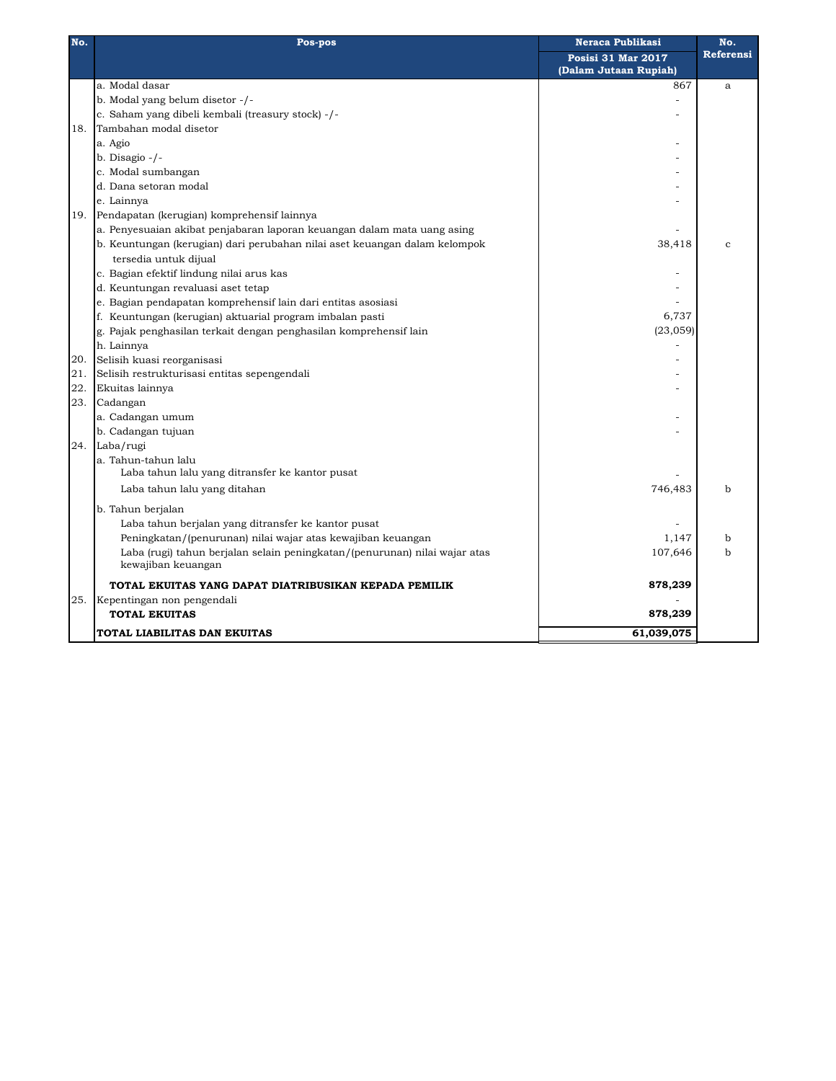| No. | Pos-pos                                                                    | <b>Neraca Publikasi</b>   | No.              |
|-----|----------------------------------------------------------------------------|---------------------------|------------------|
|     |                                                                            | <b>Posisi 31 Mar 2017</b> | <b>Referensi</b> |
|     |                                                                            | (Dalam Jutaan Rupiah)     |                  |
|     | a. Modal dasar                                                             | 867                       | a                |
|     | b. Modal yang belum disetor -/-                                            |                           |                  |
|     | c. Saham yang dibeli kembali (treasury stock) -/-                          |                           |                  |
| 18. | Tambahan modal disetor                                                     |                           |                  |
|     | a. Agio                                                                    |                           |                  |
|     | b. Disagio $-/-$                                                           |                           |                  |
|     | c. Modal sumbangan                                                         |                           |                  |
|     | d. Dana setoran modal                                                      |                           |                  |
|     | e. Lainnya                                                                 |                           |                  |
| 19. | Pendapatan (kerugian) komprehensif lainnya                                 |                           |                  |
|     | a. Penyesuaian akibat penjabaran laporan keuangan dalam mata uang asing    |                           |                  |
|     | b. Keuntungan (kerugian) dari perubahan nilai aset keuangan dalam kelompok | 38,418                    | $\mathbf{C}$     |
|     | tersedia untuk dijual                                                      |                           |                  |
|     | c. Bagian efektif lindung nilai arus kas                                   |                           |                  |
|     | d. Keuntungan revaluasi aset tetap                                         |                           |                  |
|     | e. Bagian pendapatan komprehensif lain dari entitas asosiasi               |                           |                  |
|     | f. Keuntungan (kerugian) aktuarial program imbalan pasti                   | 6,737                     |                  |
|     | g. Pajak penghasilan terkait dengan penghasilan komprehensif lain          | (23, 059)                 |                  |
|     | h. Lainnya                                                                 |                           |                  |
| 20. | Selisih kuasi reorganisasi                                                 |                           |                  |
| 21. | Selisih restrukturisasi entitas sepengendali                               |                           |                  |
| 22. | Ekuitas lainnya                                                            |                           |                  |
| 23. | Cadangan                                                                   |                           |                  |
|     | a. Cadangan umum                                                           |                           |                  |
|     | b. Cadangan tujuan                                                         |                           |                  |
| 24. | Laba/rugi                                                                  |                           |                  |
|     | a. Tahun-tahun lalu                                                        |                           |                  |
|     | Laba tahun lalu yang ditransfer ke kantor pusat                            |                           |                  |
|     | Laba tahun lalu yang ditahan                                               | 746,483                   | b                |
|     | b. Tahun berjalan                                                          |                           |                  |
|     | Laba tahun berjalan yang ditransfer ke kantor pusat                        |                           |                  |
|     | Peningkatan/(penurunan) nilai wajar atas kewajiban keuangan                | 1,147                     | b                |
|     | Laba (rugi) tahun berjalan selain peningkatan/(penurunan) nilai wajar atas | 107,646                   | $\mathbf b$      |
|     | kewajiban keuangan                                                         |                           |                  |
|     | TOTAL EKUITAS YANG DAPAT DIATRIBUSIKAN KEPADA PEMILIK                      | 878,239                   |                  |
| 25. | Kepentingan non pengendali                                                 |                           |                  |
|     | <b>TOTAL EKUITAS</b>                                                       | 878,239                   |                  |
|     | TOTAL LIABILITAS DAN EKUITAS                                               | 61,039,075                |                  |